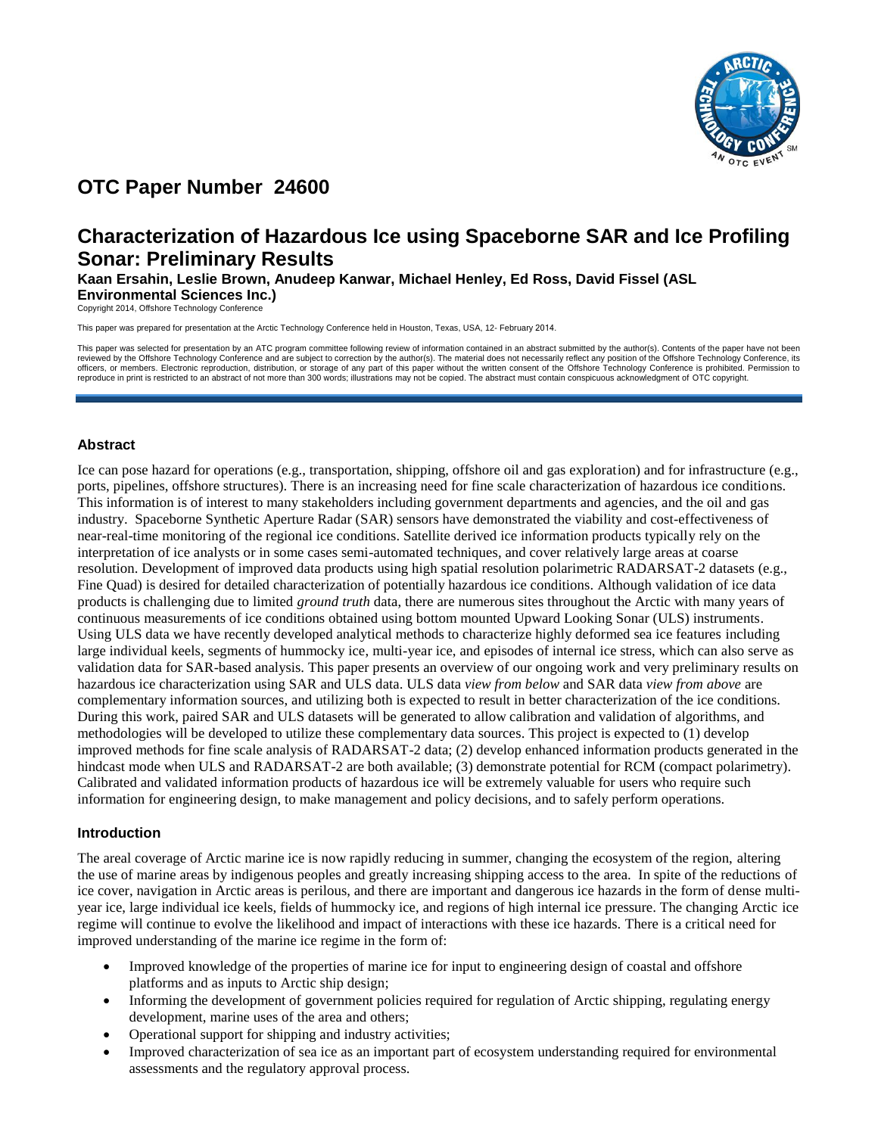

# **OTC Paper Number 24600**

# **Characterization of Hazardous Ice using Spaceborne SAR and Ice Profiling Sonar: Preliminary Results**

**Kaan Ersahin, Leslie Brown, Anudeep Kanwar, Michael Henley, Ed Ross, David Fissel (ASL Environmental Sciences Inc.)**

Copyright 2014, Offshore Technology Conference

This paper was prepared for presentation at the Arctic Technology Conference held in Houston, Texas, USA, 12- February 2014.

This paper was selected for presentation by an ATC program committee following review of information contained in an abstract submitted by the author(s). Contents of the paper have not been reviewed by the Offshore Technology Conference and are subject to correction by the author(s). The material does not necessarily reflect any position of the Offshore Technology Conference, its<br>officers, or members. Electro reproduce in print is restricted to an abstract of not more than 300 words; illustrations may not be copied. The abstract must contain conspicuous acknowledgment of OTC copyright.

# **Abstract**

Ice can pose hazard for operations (e.g., transportation, shipping, offshore oil and gas exploration) and for infrastructure (e.g., ports, pipelines, offshore structures). There is an increasing need for fine scale characterization of hazardous ice conditions. This information is of interest to many stakeholders including government departments and agencies, and the oil and gas industry. Spaceborne Synthetic Aperture Radar (SAR) sensors have demonstrated the viability and cost-effectiveness of near-real-time monitoring of the regional ice conditions. Satellite derived ice information products typically rely on the interpretation of ice analysts or in some cases semi-automated techniques, and cover relatively large areas at coarse resolution. Development of improved data products using high spatial resolution polarimetric RADARSAT-2 datasets (e.g., Fine Quad) is desired for detailed characterization of potentially hazardous ice conditions. Although validation of ice data products is challenging due to limited *ground truth* data, there are numerous sites throughout the Arctic with many years of continuous measurements of ice conditions obtained using bottom mounted Upward Looking Sonar (ULS) instruments. Using ULS data we have recently developed analytical methods to characterize highly deformed sea ice features including large individual keels, segments of hummocky ice, multi-year ice, and episodes of internal ice stress, which can also serve as validation data for SAR-based analysis. This paper presents an overview of our ongoing work and very preliminary results on hazardous ice characterization using SAR and ULS data. ULS data *view from below* and SAR data *view from above* are complementary information sources, and utilizing both is expected to result in better characterization of the ice conditions. During this work, paired SAR and ULS datasets will be generated to allow calibration and validation of algorithms, and methodologies will be developed to utilize these complementary data sources. This project is expected to (1) develop improved methods for fine scale analysis of RADARSAT-2 data; (2) develop enhanced information products generated in the hindcast mode when ULS and RADARSAT-2 are both available; (3) demonstrate potential for RCM (compact polarimetry). Calibrated and validated information products of hazardous ice will be extremely valuable for users who require such information for engineering design, to make management and policy decisions, and to safely perform operations.

# **Introduction**

The areal coverage of Arctic marine ice is now rapidly reducing in summer, changing the ecosystem of the region, altering the use of marine areas by indigenous peoples and greatly increasing shipping access to the area. In spite of the reductions of ice cover, navigation in Arctic areas is perilous, and there are important and dangerous ice hazards in the form of dense multiyear ice, large individual ice keels, fields of hummocky ice, and regions of high internal ice pressure. The changing Arctic ice regime will continue to evolve the likelihood and impact of interactions with these ice hazards. There is a critical need for improved understanding of the marine ice regime in the form of:

- Improved knowledge of the properties of marine ice for input to engineering design of coastal and offshore platforms and as inputs to Arctic ship design;
- Informing the development of government policies required for regulation of Arctic shipping, regulating energy development, marine uses of the area and others;
- Operational support for shipping and industry activities;
- Improved characterization of sea ice as an important part of ecosystem understanding required for environmental assessments and the regulatory approval process.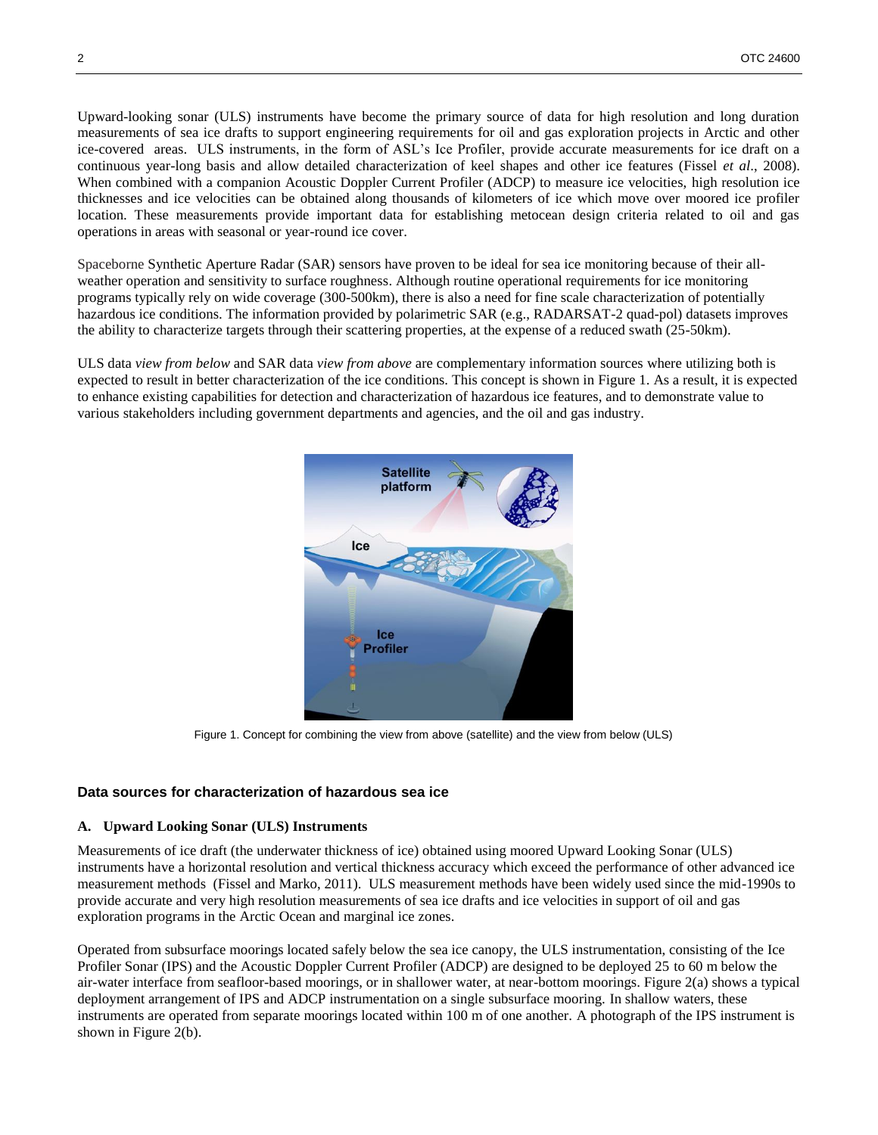Upward-looking sonar (ULS) instruments have become the primary source of data for high resolution and long duration measurements of sea ice drafts to support engineering requirements for oil and gas exploration projects in Arctic and other ice-covered areas. ULS instruments, in the form of ASL's Ice Profiler, provide accurate measurements for ice draft on a continuous year-long basis and allow detailed characterization of keel shapes and other ice features (Fissel *et al*., 2008). When combined with a companion Acoustic Doppler Current Profiler (ADCP) to measure ice velocities, high resolution ice thicknesses and ice velocities can be obtained along thousands of kilometers of ice which move over moored ice profiler location. These measurements provide important data for establishing metocean design criteria related to oil and gas operations in areas with seasonal or year-round ice cover.

Spaceborne Synthetic Aperture Radar (SAR) sensors have proven to be ideal for sea ice monitoring because of their allweather operation and sensitivity to surface roughness. Although routine operational requirements for ice monitoring programs typically rely on wide coverage (300-500km), there is also a need for fine scale characterization of potentially hazardous ice conditions. The information provided by polarimetric SAR (e.g., RADARSAT-2 quad-pol) datasets improves the ability to characterize targets through their scattering properties, at the expense of a reduced swath (25-50km).

ULS data *view from below* and SAR data *view from above* are complementary information sources where utilizing both is expected to result in better characterization of the ice conditions. This concept is shown in [Figure 1.](#page-1-0) As a result, it is expected to enhance existing capabilities for detection and characterization of hazardous ice features, and to demonstrate value to various stakeholders including government departments and agencies, and the oil and gas industry.



Figure 1. Concept for combining the view from above (satellite) and the view from below (ULS)

#### <span id="page-1-0"></span>**Data sources for characterization of hazardous sea ice**

#### **A. Upward Looking Sonar (ULS) Instruments**

Measurements of ice draft (the underwater thickness of ice) obtained using moored Upward Looking Sonar (ULS) instruments have a horizontal resolution and vertical thickness accuracy which exceed the performance of other advanced ice measurement methods (Fissel and Marko, 2011). ULS measurement methods have been widely used since the mid-1990s to provide accurate and very high resolution measurements of sea ice drafts and ice velocities in support of oil and gas exploration programs in the Arctic Ocean and marginal ice zones.

Operated from subsurface moorings located safely below the sea ice canopy, the ULS instrumentation, consisting of the Ice Profiler Sonar (IPS) and the Acoustic Doppler Current Profiler (ADCP) are designed to be deployed 25 to 60 m below the air-water interface from seafloor-based moorings, or in shallower water, at near-bottom moorings. [Figure 2\(](#page-2-0)a) shows a typical deployment arrangement of IPS and ADCP instrumentation on a single subsurface mooring. In shallow waters, these instruments are operated from separate moorings located within 100 m of one another. A photograph of the IPS instrument is shown in [Figure 2\(](#page-2-0)b).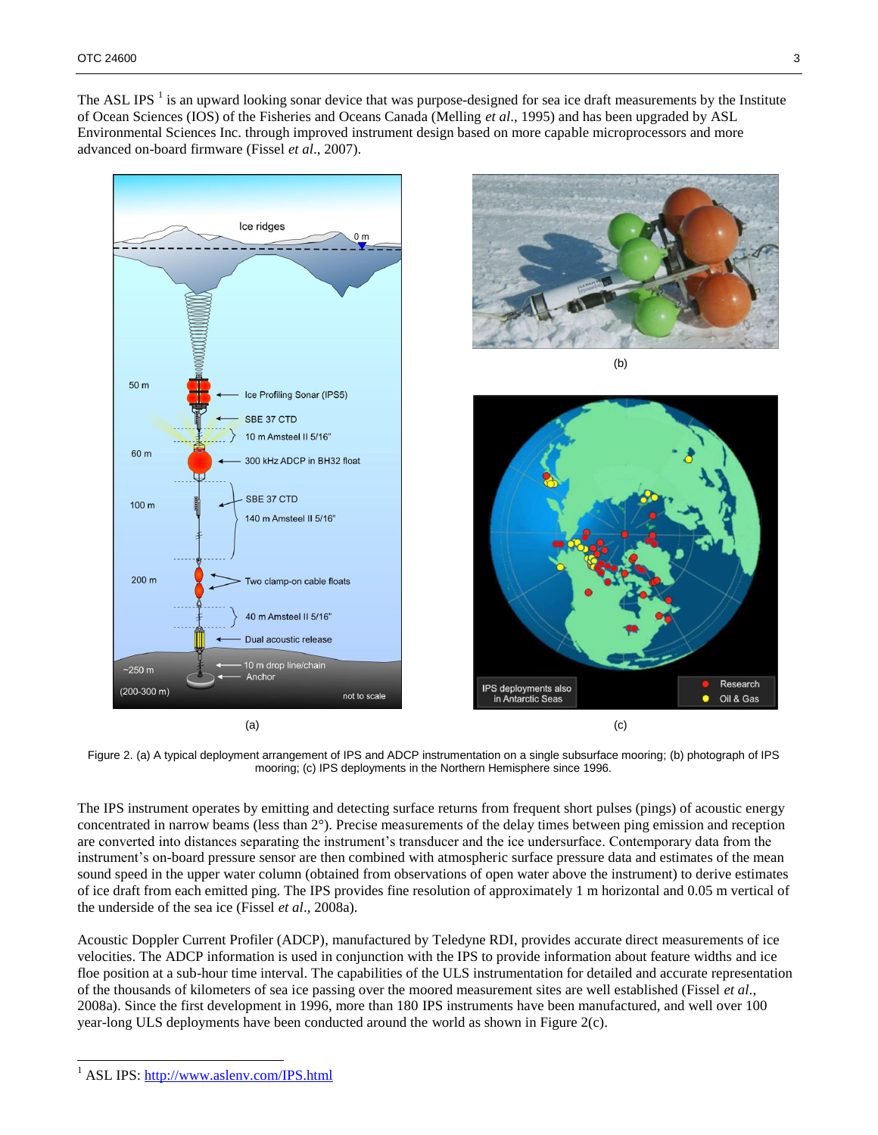The ASL IPS  $<sup>1</sup>$  is an upward looking sonar device that was purpose-designed for sea ice draft measurements by the Institute</sup> of Ocean Sciences (IOS) of the Fisheries and Oceans Canada (Melling *et al*., 1995) and has been upgraded by ASL Environmental Sciences Inc. through improved instrument design based on more capable microprocessors and more advanced on-board firmware (Fissel *et al*., 2007).



<span id="page-2-0"></span>Figure 2. (a) A typical deployment arrangement of IPS and ADCP instrumentation on a single subsurface mooring; (b) photograph of IPS mooring; (c) IPS deployments in the Northern Hemisphere since 1996.

The IPS instrument operates by emitting and detecting surface returns from frequent short pulses (pings) of acoustic energy concentrated in narrow beams (less than 2°). Precise measurements of the delay times between ping emission and reception are converted into distances separating the instrument's transducer and the ice undersurface. Contemporary data from the instrument's on-board pressure sensor are then combined with atmospheric surface pressure data and estimates of the mean sound speed in the upper water column (obtained from observations of open water above the instrument) to derive estimates of ice draft from each emitted ping. The IPS provides fine resolution of approximately 1 m horizontal and 0.05 m vertical of the underside of the sea ice (Fissel *et al*., 2008a).

Acoustic Doppler Current Profiler (ADCP), manufactured by Teledyne RDI, provides accurate direct measurements of ice velocities. The ADCP information is used in conjunction with the IPS to provide information about feature widths and ice floe position at a sub-hour time interval. The capabilities of the ULS instrumentation for detailed and accurate representation of the thousands of kilometers of sea ice passing over the moored measurement sites are well established (Fissel *et al*., 2008a). Since the first development in 1996, more than 180 IPS instruments have been manufactured, and well over 100 year-long ULS deployments have been conducted around the world as shown i[n Figure 2\(](#page-2-0)c).

l

<sup>&</sup>lt;sup>1</sup> ASL IPS:<http://www.aslenv.com/IPS.html>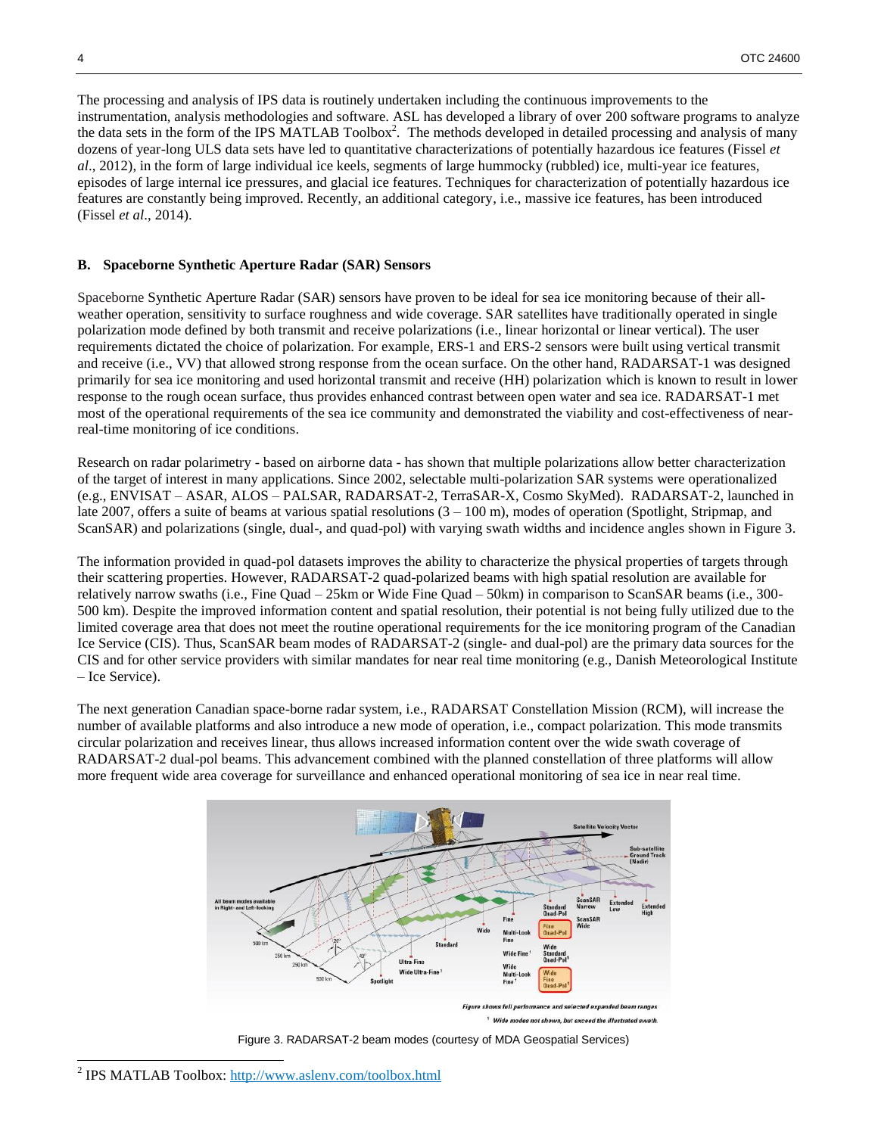The processing and analysis of IPS data is routinely undertaken including the continuous improvements to the instrumentation, analysis methodologies and software. ASL has developed a library of over 200 software programs to analyze the data sets in the form of the IPS MATLAB Toolbox<sup>2</sup>. The methods developed in detailed processing and analysis of many dozens of year-long ULS data sets have led to quantitative characterizations of potentially hazardous ice features (Fissel *et al*., 2012), in the form of large individual ice keels, segments of large hummocky (rubbled) ice, multi-year ice features, episodes of large internal ice pressures, and glacial ice features. Techniques for characterization of potentially hazardous ice features are constantly being improved. Recently, an additional category, i.e., massive ice features, has been introduced (Fissel *et al*., 2014).

#### **B. Spaceborne Synthetic Aperture Radar (SAR) Sensors**

Spaceborne Synthetic Aperture Radar (SAR) sensors have proven to be ideal for sea ice monitoring because of their allweather operation, sensitivity to surface roughness and wide coverage. SAR satellites have traditionally operated in single polarization mode defined by both transmit and receive polarizations (i.e., linear horizontal or linear vertical). The user requirements dictated the choice of polarization. For example, ERS-1 and ERS-2 sensors were built using vertical transmit and receive (i.e., VV) that allowed strong response from the ocean surface. On the other hand, RADARSAT-1 was designed primarily for sea ice monitoring and used horizontal transmit and receive (HH) polarization which is known to result in lower response to the rough ocean surface, thus provides enhanced contrast between open water and sea ice. RADARSAT-1 met most of the operational requirements of the sea ice community and demonstrated the viability and cost-effectiveness of nearreal-time monitoring of ice conditions.

Research on radar polarimetry - based on airborne data - has shown that multiple polarizations allow better characterization of the target of interest in many applications. Since 2002, selectable multi-polarization SAR systems were operationalized (e.g., ENVISAT – ASAR, ALOS – PALSAR, RADARSAT-2, TerraSAR-X, Cosmo SkyMed). RADARSAT-2, launched in late 2007, offers a suite of beams at various spatial resolutions  $(3 - 100 \text{ m})$ , modes of operation (Spotlight, Stripmap, and ScanSAR) and polarizations (single, dual-, and quad-pol) with varying swath widths and incidence angles shown in [Figure 3.](#page-3-0)

The information provided in quad-pol datasets improves the ability to characterize the physical properties of targets through their scattering properties. However, RADARSAT-2 quad-polarized beams with high spatial resolution are available for relatively narrow swaths (i.e., Fine Quad – 25km or Wide Fine Quad – 50km) in comparison to ScanSAR beams (i.e., 300- 500 km). Despite the improved information content and spatial resolution, their potential is not being fully utilized due to the limited coverage area that does not meet the routine operational requirements for the ice monitoring program of the Canadian Ice Service (CIS). Thus, ScanSAR beam modes of RADARSAT-2 (single- and dual-pol) are the primary data sources for the CIS and for other service providers with similar mandates for near real time monitoring (e.g., Danish Meteorological Institute – Ice Service).

The next generation Canadian space-borne radar system, i.e., RADARSAT Constellation Mission (RCM), will increase the number of available platforms and also introduce a new mode of operation, i.e., compact polarization. This mode transmits circular polarization and receives linear, thus allows increased information content over the wide swath coverage of RADARSAT-2 dual-pol beams. This advancement combined with the planned constellation of three platforms will allow more frequent wide area coverage for surveillance and enhanced operational monitoring of sea ice in near real time.





<sup>&</sup>lt;sup>2</sup> IPS MATLAB Toolbox[: http://www.aslenv.com/toolbox.html](http://www.aslenv.com/toolbox.html)

<span id="page-3-0"></span>l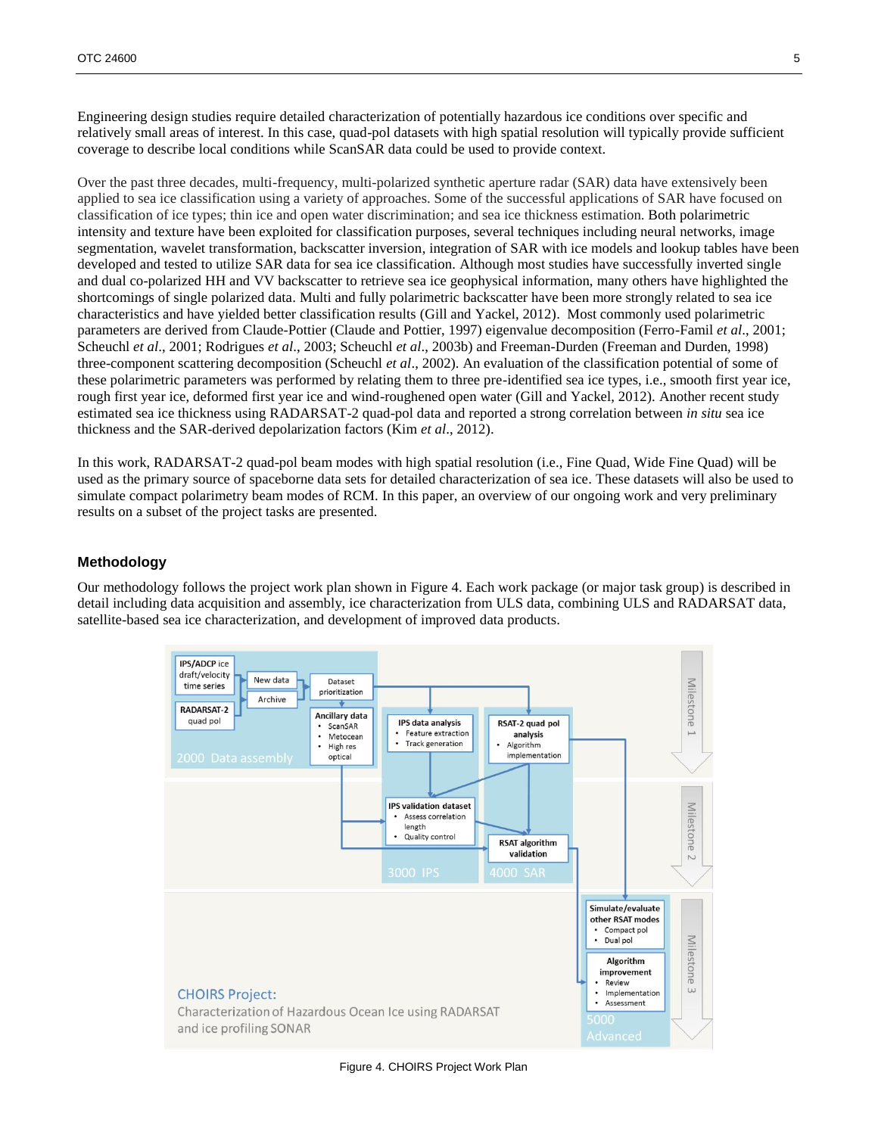Engineering design studies require detailed characterization of potentially hazardous ice conditions over specific and relatively small areas of interest. In this case, quad-pol datasets with high spatial resolution will typically provide sufficient coverage to describe local conditions while ScanSAR data could be used to provide context.

Over the past three decades, multi-frequency, multi-polarized synthetic aperture radar (SAR) data have extensively been applied to sea ice classification using a variety of approaches. Some of the successful applications of SAR have focused on classification of ice types; thin ice and open water discrimination; and sea ice thickness estimation. Both polarimetric intensity and texture have been exploited for classification purposes, several techniques including neural networks, image segmentation, wavelet transformation, backscatter inversion, integration of SAR with ice models and lookup tables have been developed and tested to utilize SAR data for sea ice classification. Although most studies have successfully inverted single and dual co-polarized HH and VV backscatter to retrieve sea ice geophysical information, many others have highlighted the shortcomings of single polarized data. Multi and fully polarimetric backscatter have been more strongly related to sea ice characteristics and have yielded better classification results (Gill and Yackel, 2012). Most commonly used polarimetric parameters are derived from Claude-Pottier (Claude and Pottier, 1997) eigenvalue decomposition (Ferro-Famil *et al*., 2001; Scheuchl *et al*., 2001; Rodrigues *et al*., 2003; Scheuchl *et al*., 2003b) and Freeman-Durden (Freeman and Durden, 1998) three-component scattering decomposition (Scheuchl *et al*., 2002). An evaluation of the classification potential of some of these polarimetric parameters was performed by relating them to three pre-identified sea ice types, i.e., smooth first year ice, rough first year ice, deformed first year ice and wind-roughened open water (Gill and Yackel, 2012). Another recent study estimated sea ice thickness using RADARSAT-2 quad-pol data and reported a strong correlation between *in situ* sea ice thickness and the SAR-derived depolarization factors (Kim *et al*., 2012).

In this work, RADARSAT-2 quad-pol beam modes with high spatial resolution (i.e., Fine Quad, Wide Fine Quad) will be used as the primary source of spaceborne data sets for detailed characterization of sea ice. These datasets will also be used to simulate compact polarimetry beam modes of RCM. In this paper, an overview of our ongoing work and very preliminary results on a subset of the project tasks are presented.

# **Methodology**

Our methodology follows the project work plan shown in [Figure 4.](#page-4-0) Each work package (or major task group) is described in detail including data acquisition and assembly, ice characterization from ULS data, combining ULS and RADARSAT data, satellite-based sea ice characterization, and development of improved data products.



<span id="page-4-0"></span>Figure 4. CHOIRS Project Work Plan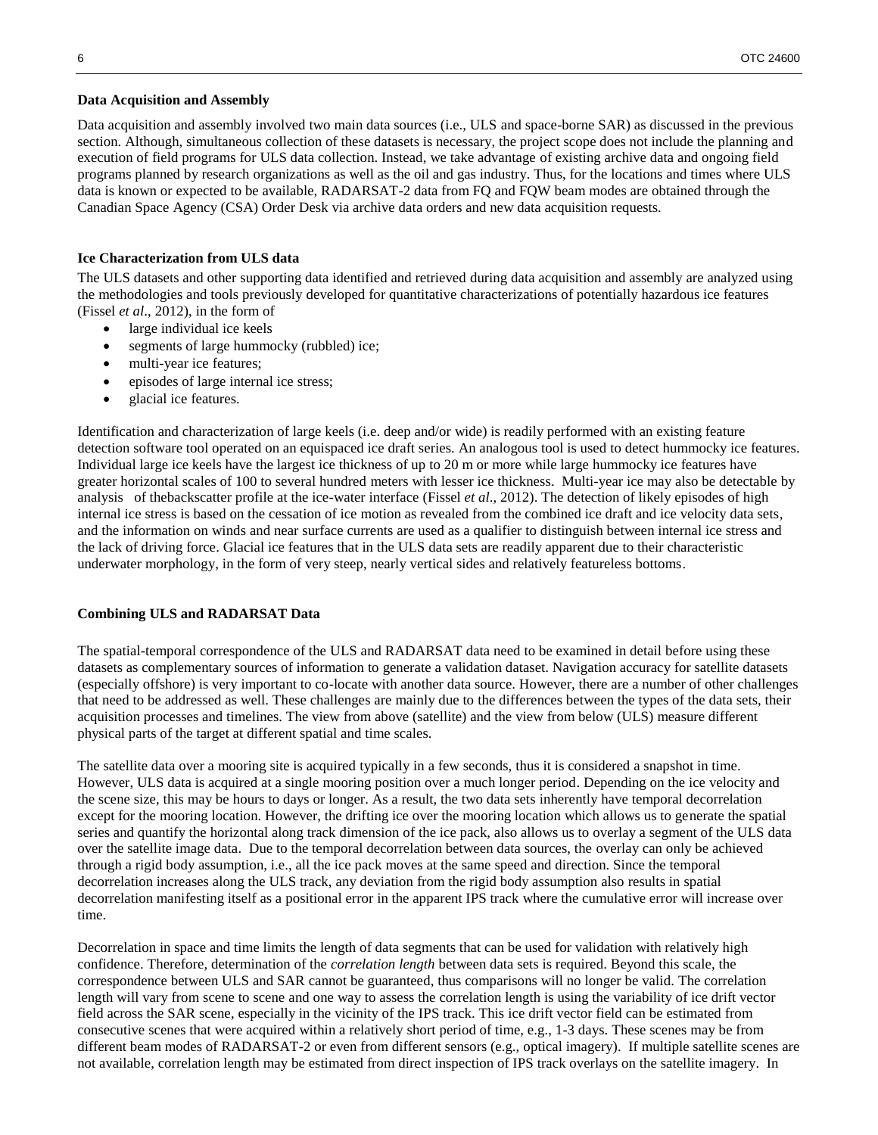#### **Data Acquisition and Assembly**

Data acquisition and assembly involved two main data sources (i.e., ULS and space-borne SAR) as discussed in the previous section. Although, simultaneous collection of these datasets is necessary, the project scope does not include the planning and execution of field programs for ULS data collection. Instead, we take advantage of existing archive data and ongoing field programs planned by research organizations as well as the oil and gas industry. Thus, for the locations and times where ULS data is known or expected to be available, RADARSAT-2 data from FQ and FQW beam modes are obtained through the Canadian Space Agency (CSA) Order Desk via archive data orders and new data acquisition requests.

## **Ice Characterization from ULS data**

The ULS datasets and other supporting data identified and retrieved during data acquisition and assembly are analyzed using the methodologies and tools previously developed for quantitative characterizations of potentially hazardous ice features (Fissel *et al*., 2012), in the form of

- large individual ice keels
- segments of large hummocky (rubbled) ice;
- multi-year ice features;
- episodes of large internal ice stress;
- glacial ice features.

Identification and characterization of large keels (i.e. deep and/or wide) is readily performed with an existing feature detection software tool operated on an equispaced ice draft series. An analogous tool is used to detect hummocky ice features. Individual large ice keels have the largest ice thickness of up to 20 m or more while large hummocky ice features have greater horizontal scales of 100 to several hundred meters with lesser ice thickness. Multi-year ice may also be detectable by analysis of thebackscatter profile at the ice-water interface (Fissel *et al*., 2012). The detection of likely episodes of high internal ice stress is based on the cessation of ice motion as revealed from the combined ice draft and ice velocity data sets, and the information on winds and near surface currents are used as a qualifier to distinguish between internal ice stress and the lack of driving force. Glacial ice features that in the ULS data sets are readily apparent due to their characteristic underwater morphology, in the form of very steep, nearly vertical sides and relatively featureless bottoms.

#### **Combining ULS and RADARSAT Data**

The spatial-temporal correspondence of the ULS and RADARSAT data need to be examined in detail before using these datasets as complementary sources of information to generate a validation dataset. Navigation accuracy for satellite datasets (especially offshore) is very important to co-locate with another data source. However, there are a number of other challenges that need to be addressed as well. These challenges are mainly due to the differences between the types of the data sets, their acquisition processes and timelines. The view from above (satellite) and the view from below (ULS) measure different physical parts of the target at different spatial and time scales.

The satellite data over a mooring site is acquired typically in a few seconds, thus it is considered a snapshot in time. However, ULS data is acquired at a single mooring position over a much longer period. Depending on the ice velocity and the scene size, this may be hours to days or longer. As a result, the two data sets inherently have temporal decorrelation except for the mooring location. However, the drifting ice over the mooring location which allows us to generate the spatial series and quantify the horizontal along track dimension of the ice pack, also allows us to overlay a segment of the ULS data over the satellite image data. Due to the temporal decorrelation between data sources, the overlay can only be achieved through a rigid body assumption, i.e., all the ice pack moves at the same speed and direction. Since the temporal decorrelation increases along the ULS track, any deviation from the rigid body assumption also results in spatial decorrelation manifesting itself as a positional error in the apparent IPS track where the cumulative error will increase over time.

Decorrelation in space and time limits the length of data segments that can be used for validation with relatively high confidence. Therefore, determination of the *correlation length* between data sets is required. Beyond this scale, the correspondence between ULS and SAR cannot be guaranteed, thus comparisons will no longer be valid. The correlation length will vary from scene to scene and one way to assess the correlation length is using the variability of ice drift vector field across the SAR scene, especially in the vicinity of the IPS track. This ice drift vector field can be estimated from consecutive scenes that were acquired within a relatively short period of time, e.g., 1-3 days. These scenes may be from different beam modes of RADARSAT-2 or even from different sensors (e.g., optical imagery). If multiple satellite scenes are not available, correlation length may be estimated from direct inspection of IPS track overlays on the satellite imagery. In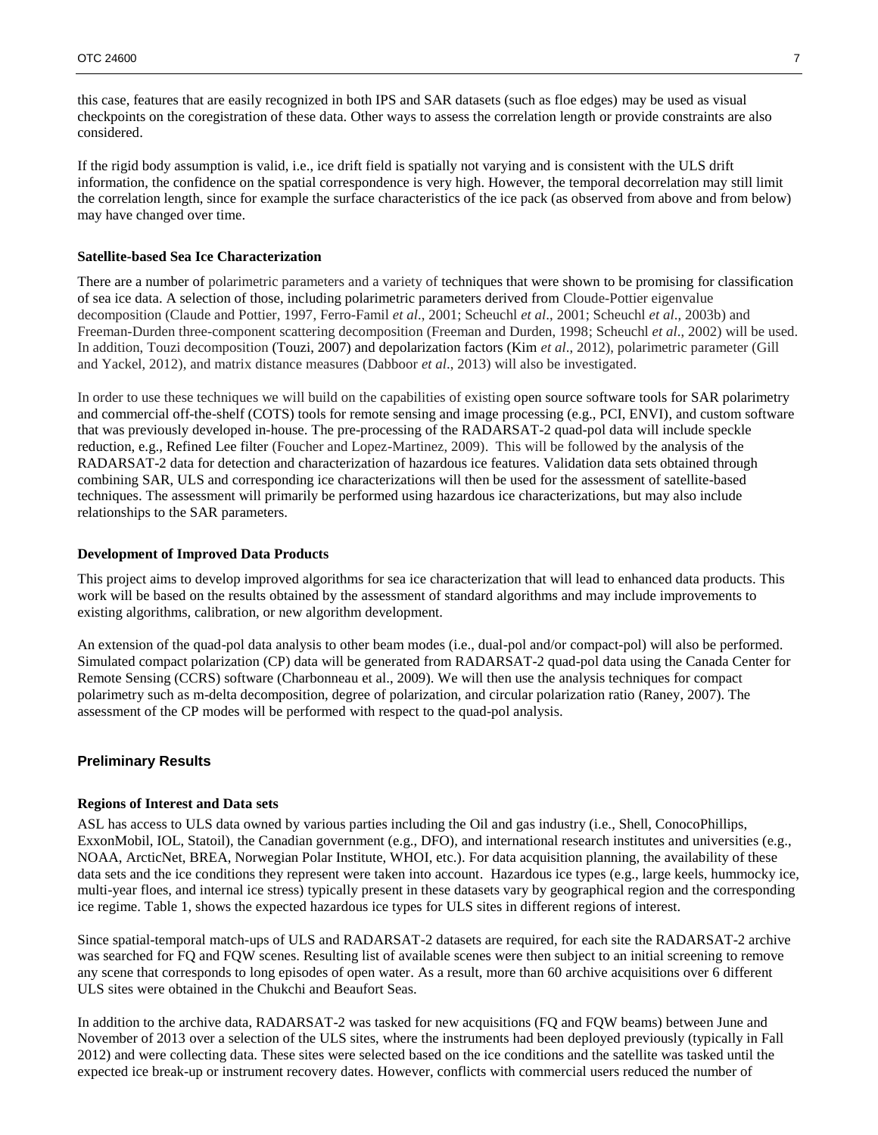this case, features that are easily recognized in both IPS and SAR datasets (such as floe edges) may be used as visual checkpoints on the coregistration of these data. Other ways to assess the correlation length or provide constraints are also considered.

If the rigid body assumption is valid, i.e., ice drift field is spatially not varying and is consistent with the ULS drift information, the confidence on the spatial correspondence is very high. However, the temporal decorrelation may still limit the correlation length, since for example the surface characteristics of the ice pack (as observed from above and from below) may have changed over time.

#### **Satellite-based Sea Ice Characterization**

There are a number of polarimetric parameters and a variety of techniques that were shown to be promising for classification of sea ice data. A selection of those, including polarimetric parameters derived from Cloude-Pottier eigenvalue decomposition (Claude and Pottier, 1997, Ferro-Famil *et al*., 2001; Scheuchl *et al*., 2001; Scheuchl *et al*., 2003b) and Freeman-Durden three-component scattering decomposition (Freeman and Durden, 1998; Scheuchl *et al*., 2002) will be used. In addition, Touzi decomposition (Touzi, 2007) and depolarization factors (Kim *et al*., 2012), polarimetric parameter (Gill and Yackel, 2012), and matrix distance measures (Dabboor *et al*., 2013) will also be investigated.

In order to use these techniques we will build on the capabilities of existing open source software tools for SAR polarimetry and commercial off-the-shelf (COTS) tools for remote sensing and image processing (e.g., PCI, ENVI), and custom software that was previously developed in-house. The pre-processing of the RADARSAT-2 quad-pol data will include speckle reduction, e.g., Refined Lee filter (Foucher and Lopez-Martinez, 2009). This will be followed by the analysis of the RADARSAT-2 data for detection and characterization of hazardous ice features. Validation data sets obtained through combining SAR, ULS and corresponding ice characterizations will then be used for the assessment of satellite-based techniques. The assessment will primarily be performed using hazardous ice characterizations, but may also include relationships to the SAR parameters.

#### **Development of Improved Data Products**

This project aims to develop improved algorithms for sea ice characterization that will lead to enhanced data products. This work will be based on the results obtained by the assessment of standard algorithms and may include improvements to existing algorithms, calibration, or new algorithm development.

An extension of the quad-pol data analysis to other beam modes (i.e., dual-pol and/or compact-pol) will also be performed. Simulated compact polarization (CP) data will be generated from RADARSAT-2 quad-pol data using the Canada Center for Remote Sensing (CCRS) software (Charbonneau et al., 2009). We will then use the analysis techniques for compact polarimetry such as m-delta decomposition, degree of polarization, and circular polarization ratio (Raney, 2007). The assessment of the CP modes will be performed with respect to the quad-pol analysis.

## **Preliminary Results**

## **Regions of Interest and Data sets**

ASL has access to ULS data owned by various parties including the Oil and gas industry (i.e., Shell, ConocoPhillips, ExxonMobil, IOL, Statoil), the Canadian government (e.g., DFO), and international research institutes and universities (e.g., NOAA, ArcticNet, BREA, Norwegian Polar Institute, WHOI, etc.). For data acquisition planning, the availability of these data sets and the ice conditions they represent were taken into account. Hazardous ice types (e.g., large keels, hummocky ice, multi-year floes, and internal ice stress) typically present in these datasets vary by geographical region and the corresponding ice regime. [Table 1,](#page-7-0) shows the expected hazardous ice types for ULS sites in different regions of interest.

Since spatial-temporal match-ups of ULS and RADARSAT-2 datasets are required, for each site the RADARSAT-2 archive was searched for FQ and FQW scenes. Resulting list of available scenes were then subject to an initial screening to remove any scene that corresponds to long episodes of open water. As a result, more than 60 archive acquisitions over 6 different ULS sites were obtained in the Chukchi and Beaufort Seas.

In addition to the archive data, RADARSAT-2 was tasked for new acquisitions (FQ and FQW beams) between June and November of 2013 over a selection of the ULS sites, where the instruments had been deployed previously (typically in Fall 2012) and were collecting data. These sites were selected based on the ice conditions and the satellite was tasked until the expected ice break-up or instrument recovery dates. However, conflicts with commercial users reduced the number of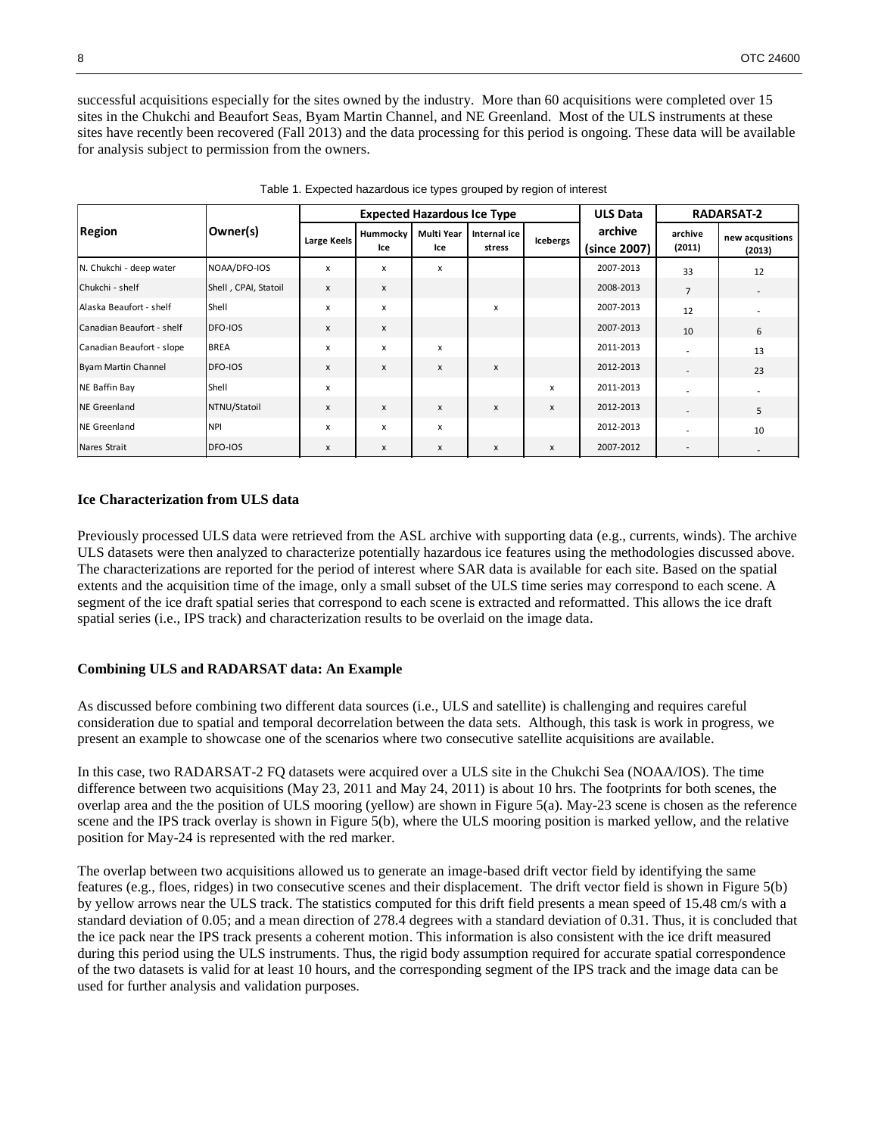successful acquisitions especially for the sites owned by the industry. More than 60 acquisitions were completed over 15 sites in the Chukchi and Beaufort Seas, Byam Martin Channel, and NE Greenland. Most of the ULS instruments at these sites have recently been recovered (Fall 2013) and the data processing for this period is ongoing. These data will be available for analysis subject to permission from the owners.

<span id="page-7-0"></span>

| <b>Region</b>              | Owner(s)             | <b>Expected Hazardous Ice Type</b> |                 |                           |                        |                 | <b>ULS Data</b>         |                   | <b>RADARSAT-2</b>         |
|----------------------------|----------------------|------------------------------------|-----------------|---------------------------|------------------------|-----------------|-------------------------|-------------------|---------------------------|
|                            |                      | <b>Large Keels</b>                 | Hummocky<br>Ice | Multi Year<br>Ice         | Internal ice<br>stress | <b>Icebergs</b> | archive<br>(since 2007) | archive<br>(2011) | new acqusitions<br>(2013) |
| N. Chukchi - deep water    | NOAA/DFO-IOS         | x                                  | x               | x                         |                        |                 | 2007-2013               | 33                | 12                        |
| Chukchi - shelf            | Shell, CPAI, Statoil | x                                  | X               |                           |                        |                 | 2008-2013               | $\overline{7}$    |                           |
| Alaska Beaufort - shelf    | Shell                | X                                  | X               |                           | x                      |                 | 2007-2013               | 12                |                           |
| Canadian Beaufort - shelf  | DFO-IOS              | x                                  | x               |                           |                        |                 | 2007-2013               | 10                | 6                         |
| Canadian Beaufort - slope  | <b>BREA</b>          | x                                  | X               | $\boldsymbol{\mathsf{x}}$ |                        |                 | 2011-2013               |                   | 13                        |
| <b>Byam Martin Channel</b> | DFO-IOS              | X                                  | X               | $\boldsymbol{\mathsf{x}}$ | $\mathsf{x}$           |                 | 2012-2013               |                   | 23                        |
| <b>NE Baffin Bay</b>       | Shell                | X                                  |                 |                           |                        | x               | 2011-2013               |                   |                           |
| <b>NE Greenland</b>        | NTNU/Statoil         | X                                  | $\mathsf{x}$    | X                         | X                      | X               | 2012-2013               |                   | 5                         |
| <b>NE Greenland</b>        | <b>NPI</b>           | x                                  | X               | x                         |                        |                 | 2012-2013               |                   | 10                        |
| Nares Strait               | DFO-IOS              | X                                  | X               | X                         | X                      | X               | 2007-2012               |                   |                           |

Table 1. Expected hazardous ice types grouped by region of interest

## **Ice Characterization from ULS data**

Previously processed ULS data were retrieved from the ASL archive with supporting data (e.g., currents, winds). The archive ULS datasets were then analyzed to characterize potentially hazardous ice features using the methodologies discussed above. The characterizations are reported for the period of interest where SAR data is available for each site. Based on the spatial extents and the acquisition time of the image, only a small subset of the ULS time series may correspond to each scene. A segment of the ice draft spatial series that correspond to each scene is extracted and reformatted. This allows the ice draft spatial series (i.e., IPS track) and characterization results to be overlaid on the image data.

## **Combining ULS and RADARSAT data: An Example**

As discussed before combining two different data sources (i.e., ULS and satellite) is challenging and requires careful consideration due to spatial and temporal decorrelation between the data sets. Although, this task is work in progress, we present an example to showcase one of the scenarios where two consecutive satellite acquisitions are available.

In this case, two RADARSAT-2 FQ datasets were acquired over a ULS site in the Chukchi Sea (NOAA/IOS). The time difference between two acquisitions (May 23, 2011 and May 24, 2011) is about 10 hrs. The footprints for both scenes, the overlap area and the the position of ULS mooring (yellow) are shown in [Figure 5\(](#page-8-0)a). May-23 scene is chosen as the reference scene and the IPS track overlay is shown in [Figure 5\(](#page-8-0)b), where the ULS mooring position is marked yellow, and the relative position for May-24 is represented with the red marker.

The overlap between two acquisitions allowed us to generate an image-based drift vector field by identifying the same features (e.g., floes, ridges) in two consecutive scenes and their displacement. The drift vector field is shown in [Figure 5\(](#page-8-0)b) by yellow arrows near the ULS track. The statistics computed for this drift field presents a mean speed of 15.48 cm/s with a standard deviation of 0.05; and a mean direction of 278.4 degrees with a standard deviation of 0.31. Thus, it is concluded that the ice pack near the IPS track presents a coherent motion. This information is also consistent with the ice drift measured during this period using the ULS instruments. Thus, the rigid body assumption required for accurate spatial correspondence of the two datasets is valid for at least 10 hours, and the corresponding segment of the IPS track and the image data can be used for further analysis and validation purposes.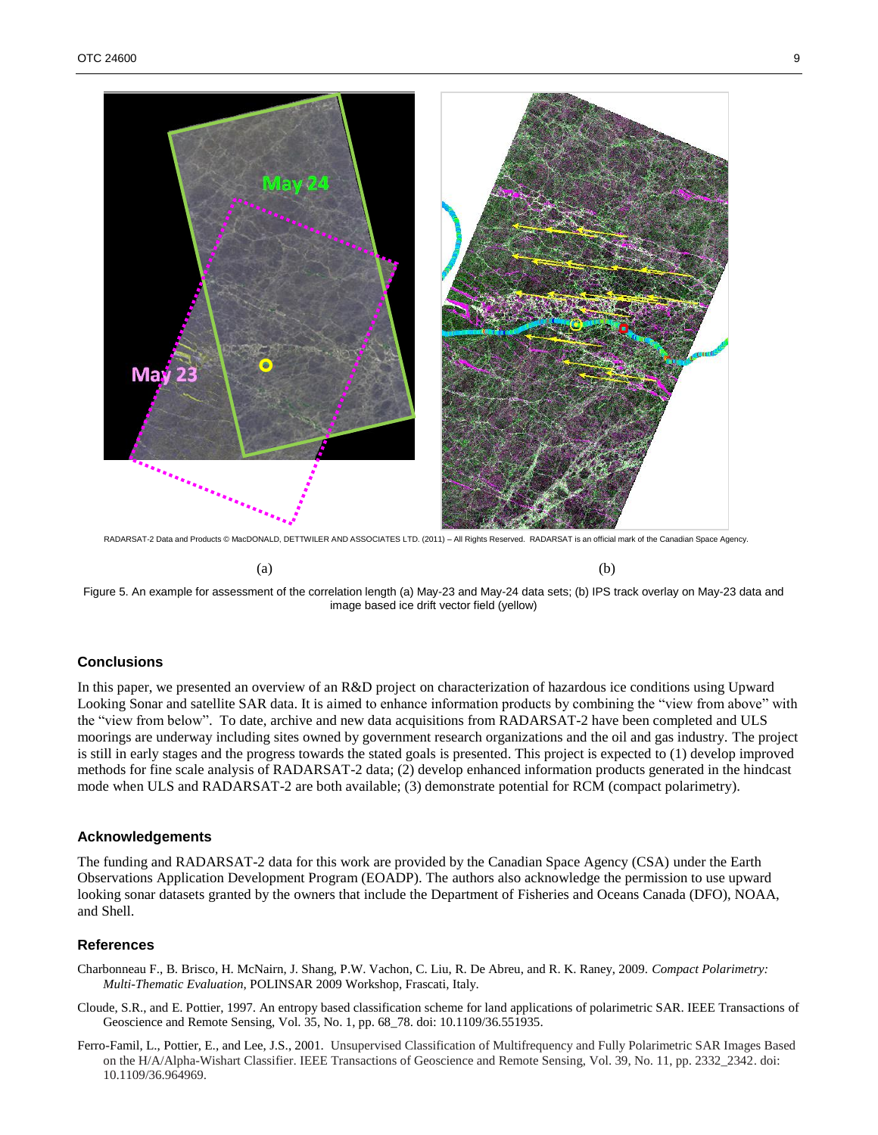

RADARSAT-2 Data and Products © MacDONALD, DETTWILER AND ASSOCIATES LTD. (2011) – All Rights Reserved. RADARSAT is an official mark of the Canadian Space Agency.

 $(a)$  (b)

<span id="page-8-0"></span>

## **Conclusions**

In this paper, we presented an overview of an R&D project on characterization of hazardous ice conditions using Upward Looking Sonar and satellite SAR data. It is aimed to enhance information products by combining the "view from above" with the "view from below". To date, archive and new data acquisitions from RADARSAT-2 have been completed and ULS moorings are underway including sites owned by government research organizations and the oil and gas industry. The project is still in early stages and the progress towards the stated goals is presented. This project is expected to (1) develop improved methods for fine scale analysis of RADARSAT-2 data; (2) develop enhanced information products generated in the hindcast mode when ULS and RADARSAT-2 are both available; (3) demonstrate potential for RCM (compact polarimetry).

#### **Acknowledgements**

The funding and RADARSAT-2 data for this work are provided by the Canadian Space Agency (CSA) under the Earth Observations Application Development Program (EOADP). The authors also acknowledge the permission to use upward looking sonar datasets granted by the owners that include the Department of Fisheries and Oceans Canada (DFO), NOAA, and Shell.

#### **References**

- Charbonneau F., B. Brisco, H. McNairn, J. Shang, P.W. Vachon, C. Liu, R. De Abreu, and R. K. Raney, 2009. *Compact Polarimetry: Multi-Thematic Evaluation*, POLINSAR 2009 Workshop, Frascati, Italy.
- Cloude, S.R., and E. Pottier, 1997. An entropy based classification scheme for land applications of polarimetric SAR. IEEE Transactions of Geoscience and Remote Sensing, Vol. 35, No. 1, pp. 68\_78. doi: 10.1109/36.551935.
- Ferro-Famil, L., Pottier, E., and Lee, J.S., 2001. Unsupervised Classification of Multifrequency and Fully Polarimetric SAR Images Based on the H/A/Alpha-Wishart Classifier. IEEE Transactions of Geoscience and Remote Sensing, Vol. 39, No. 11, pp. 2332\_2342. doi: 10.1109/36.964969.